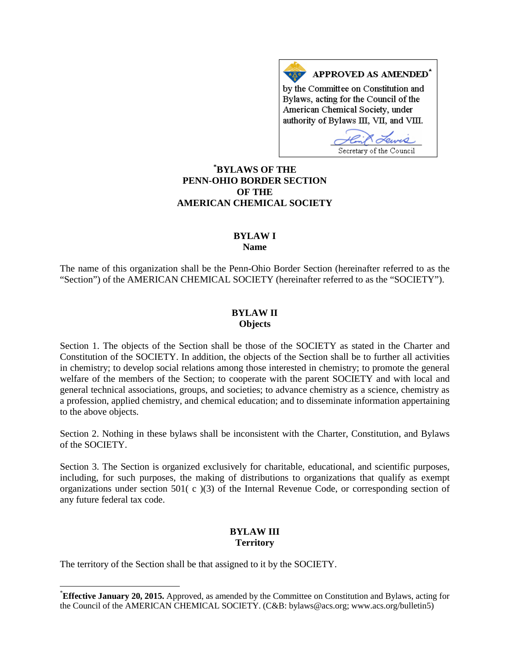APPROVED AS AMENDED<sup>\*</sup> by the Committee on Constitution and Bylaws, acting for the Council of the American Chemical Society, under authority of Bylaws III, VII, and VIII.

Secretary of the Council

## **[\\*](#page-0-0) BYLAWS OF THE PENN-OHIO BORDER SECTION OF THE AMERICAN CHEMICAL SOCIETY**

#### **BYLAW I Name**

The name of this organization shall be the Penn-Ohio Border Section (hereinafter referred to as the "Section") of the AMERICAN CHEMICAL SOCIETY (hereinafter referred to as the "SOCIETY").

### **BYLAW II Objects**

Section 1. The objects of the Section shall be those of the SOCIETY as stated in the Charter and Constitution of the SOCIETY. In addition, the objects of the Section shall be to further all activities in chemistry; to develop social relations among those interested in chemistry; to promote the general welfare of the members of the Section; to cooperate with the parent SOCIETY and with local and general technical associations, groups, and societies; to advance chemistry as a science, chemistry as a profession, applied chemistry, and chemical education; and to disseminate information appertaining to the above objects.

Section 2. Nothing in these bylaws shall be inconsistent with the Charter, Constitution, and Bylaws of the SOCIETY.

Section 3. The Section is organized exclusively for charitable, educational, and scientific purposes, including, for such purposes, the making of distributions to organizations that qualify as exempt organizations under section 501( c )(3) of the Internal Revenue Code, or corresponding section of any future federal tax code.

# **BYLAW III Territory**

The territory of the Section shall be that assigned to it by the SOCIETY.

<span id="page-0-0"></span> <sup>\*</sup> **Effective January 20, 2015.** Approved, as amended by the Committee on Constitution and Bylaws, acting for the Council of the AMERICAN CHEMICAL SOCIETY. (C&B: bylaws@acs.org; www.acs.org/bulletin5)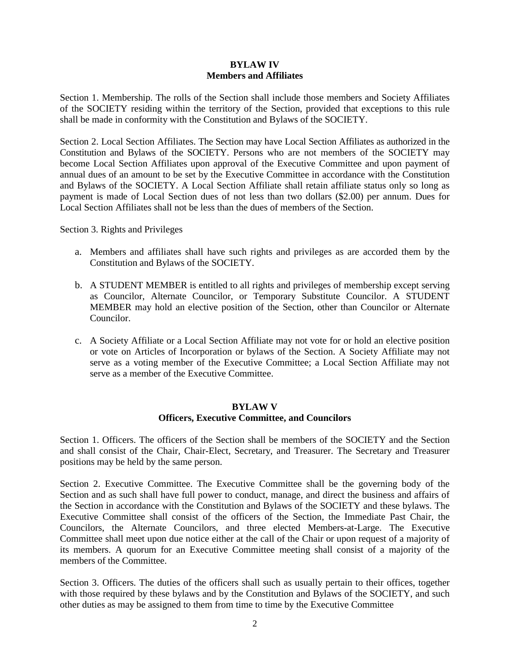### **BYLAW IV Members and Affiliates**

Section 1. Membership. The rolls of the Section shall include those members and Society Affiliates of the SOCIETY residing within the territory of the Section, provided that exceptions to this rule shall be made in conformity with the Constitution and Bylaws of the SOCIETY.

Section 2. Local Section Affiliates. The Section may have Local Section Affiliates as authorized in the Constitution and Bylaws of the SOCIETY. Persons who are not members of the SOCIETY may become Local Section Affiliates upon approval of the Executive Committee and upon payment of annual dues of an amount to be set by the Executive Committee in accordance with the Constitution and Bylaws of the SOCIETY. A Local Section Affiliate shall retain affiliate status only so long as payment is made of Local Section dues of not less than two dollars (\$2.00) per annum. Dues for Local Section Affiliates shall not be less than the dues of members of the Section.

Section 3. Rights and Privileges

- a. Members and affiliates shall have such rights and privileges as are accorded them by the Constitution and Bylaws of the SOCIETY.
- b. A STUDENT MEMBER is entitled to all rights and privileges of membership except serving as Councilor, Alternate Councilor, or Temporary Substitute Councilor. A STUDENT MEMBER may hold an elective position of the Section, other than Councilor or Alternate Councilor.
- c. A Society Affiliate or a Local Section Affiliate may not vote for or hold an elective position or vote on Articles of Incorporation or bylaws of the Section. A Society Affiliate may not serve as a voting member of the Executive Committee; a Local Section Affiliate may not serve as a member of the Executive Committee.

### **BYLAW V Officers, Executive Committee, and Councilors**

Section 1. Officers. The officers of the Section shall be members of the SOCIETY and the Section and shall consist of the Chair, Chair-Elect, Secretary, and Treasurer. The Secretary and Treasurer positions may be held by the same person.

Section 2. Executive Committee. The Executive Committee shall be the governing body of the Section and as such shall have full power to conduct, manage, and direct the business and affairs of the Section in accordance with the Constitution and Bylaws of the SOCIETY and these bylaws. The Executive Committee shall consist of the officers of the Section, the Immediate Past Chair, the Councilors, the Alternate Councilors, and three elected Members-at-Large. The Executive Committee shall meet upon due notice either at the call of the Chair or upon request of a majority of its members. A quorum for an Executive Committee meeting shall consist of a majority of the members of the Committee.

Section 3. Officers. The duties of the officers shall such as usually pertain to their offices, together with those required by these bylaws and by the Constitution and Bylaws of the SOCIETY, and such other duties as may be assigned to them from time to time by the Executive Committee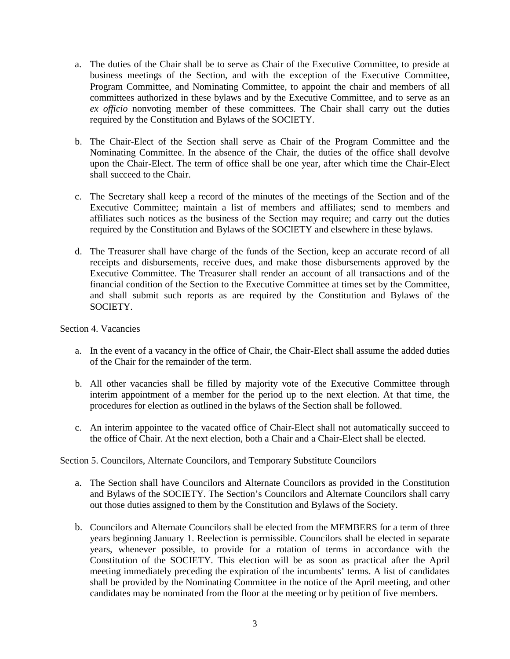- a. The duties of the Chair shall be to serve as Chair of the Executive Committee, to preside at business meetings of the Section, and with the exception of the Executive Committee, Program Committee, and Nominating Committee, to appoint the chair and members of all committees authorized in these bylaws and by the Executive Committee, and to serve as an *ex officio* nonvoting member of these committees. The Chair shall carry out the duties required by the Constitution and Bylaws of the SOCIETY.
- b. The Chair-Elect of the Section shall serve as Chair of the Program Committee and the Nominating Committee. In the absence of the Chair, the duties of the office shall devolve upon the Chair-Elect. The term of office shall be one year, after which time the Chair-Elect shall succeed to the Chair.
- c. The Secretary shall keep a record of the minutes of the meetings of the Section and of the Executive Committee; maintain a list of members and affiliates; send to members and affiliates such notices as the business of the Section may require; and carry out the duties required by the Constitution and Bylaws of the SOCIETY and elsewhere in these bylaws.
- d. The Treasurer shall have charge of the funds of the Section, keep an accurate record of all receipts and disbursements, receive dues, and make those disbursements approved by the Executive Committee. The Treasurer shall render an account of all transactions and of the financial condition of the Section to the Executive Committee at times set by the Committee, and shall submit such reports as are required by the Constitution and Bylaws of the SOCIETY.

Section 4. Vacancies

- a. In the event of a vacancy in the office of Chair, the Chair-Elect shall assume the added duties of the Chair for the remainder of the term.
- b. All other vacancies shall be filled by majority vote of the Executive Committee through interim appointment of a member for the period up to the next election. At that time, the procedures for election as outlined in the bylaws of the Section shall be followed.
- c. An interim appointee to the vacated office of Chair-Elect shall not automatically succeed to the office of Chair. At the next election, both a Chair and a Chair-Elect shall be elected.

Section 5. Councilors, Alternate Councilors, and Temporary Substitute Councilors

- a. The Section shall have Councilors and Alternate Councilors as provided in the Constitution and Bylaws of the SOCIETY. The Section's Councilors and Alternate Councilors shall carry out those duties assigned to them by the Constitution and Bylaws of the Society.
- b. Councilors and Alternate Councilors shall be elected from the MEMBERS for a term of three years beginning January 1. Reelection is permissible. Councilors shall be elected in separate years, whenever possible, to provide for a rotation of terms in accordance with the Constitution of the SOCIETY. This election will be as soon as practical after the April meeting immediately preceding the expiration of the incumbents' terms. A list of candidates shall be provided by the Nominating Committee in the notice of the April meeting, and other candidates may be nominated from the floor at the meeting or by petition of five members.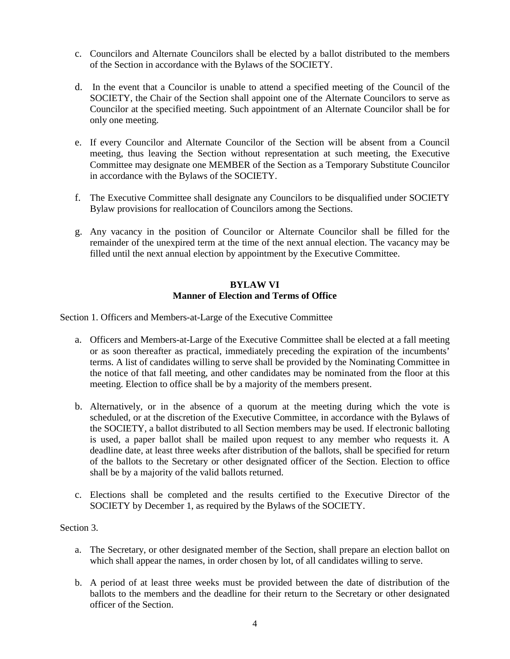- c. Councilors and Alternate Councilors shall be elected by a ballot distributed to the members of the Section in accordance with the Bylaws of the SOCIETY.
- d. In the event that a Councilor is unable to attend a specified meeting of the Council of the SOCIETY, the Chair of the Section shall appoint one of the Alternate Councilors to serve as Councilor at the specified meeting. Such appointment of an Alternate Councilor shall be for only one meeting.
- e. If every Councilor and Alternate Councilor of the Section will be absent from a Council meeting, thus leaving the Section without representation at such meeting, the Executive Committee may designate one MEMBER of the Section as a Temporary Substitute Councilor in accordance with the Bylaws of the SOCIETY.
- f. The Executive Committee shall designate any Councilors to be disqualified under SOCIETY Bylaw provisions for reallocation of Councilors among the Sections.
- g. Any vacancy in the position of Councilor or Alternate Councilor shall be filled for the remainder of the unexpired term at the time of the next annual election. The vacancy may be filled until the next annual election by appointment by the Executive Committee.

# **BYLAW VI Manner of Election and Terms of Office**

Section 1. Officers and Members-at-Large of the Executive Committee

- a. Officers and Members-at-Large of the Executive Committee shall be elected at a fall meeting or as soon thereafter as practical, immediately preceding the expiration of the incumbents' terms. A list of candidates willing to serve shall be provided by the Nominating Committee in the notice of that fall meeting, and other candidates may be nominated from the floor at this meeting. Election to office shall be by a majority of the members present.
- b. Alternatively, or in the absence of a quorum at the meeting during which the vote is scheduled, or at the discretion of the Executive Committee, in accordance with the Bylaws of the SOCIETY, a ballot distributed to all Section members may be used. If electronic balloting is used, a paper ballot shall be mailed upon request to any member who requests it. A deadline date, at least three weeks after distribution of the ballots, shall be specified for return of the ballots to the Secretary or other designated officer of the Section. Election to office shall be by a majority of the valid ballots returned.
- c. Elections shall be completed and the results certified to the Executive Director of the SOCIETY by December 1, as required by the Bylaws of the SOCIETY.

## Section 3.

- a. The Secretary, or other designated member of the Section, shall prepare an election ballot on which shall appear the names, in order chosen by lot, of all candidates willing to serve.
- b. A period of at least three weeks must be provided between the date of distribution of the ballots to the members and the deadline for their return to the Secretary or other designated officer of the Section.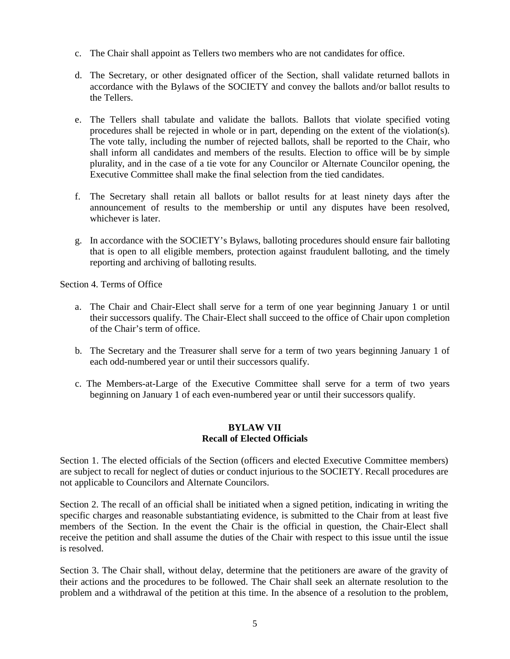- c. The Chair shall appoint as Tellers two members who are not candidates for office.
- d. The Secretary, or other designated officer of the Section, shall validate returned ballots in accordance with the Bylaws of the SOCIETY and convey the ballots and/or ballot results to the Tellers.
- e. The Tellers shall tabulate and validate the ballots. Ballots that violate specified voting procedures shall be rejected in whole or in part, depending on the extent of the violation(s). The vote tally, including the number of rejected ballots, shall be reported to the Chair, who shall inform all candidates and members of the results. Election to office will be by simple plurality, and in the case of a tie vote for any Councilor or Alternate Councilor opening, the Executive Committee shall make the final selection from the tied candidates.
- f. The Secretary shall retain all ballots or ballot results for at least ninety days after the announcement of results to the membership or until any disputes have been resolved, whichever is later.
- g. In accordance with the SOCIETY's Bylaws, balloting procedures should ensure fair balloting that is open to all eligible members, protection against fraudulent balloting, and the timely reporting and archiving of balloting results.

Section 4. Terms of Office

- a. The Chair and Chair-Elect shall serve for a term of one year beginning January 1 or until their successors qualify. The Chair-Elect shall succeed to the office of Chair upon completion of the Chair's term of office.
- b. The Secretary and the Treasurer shall serve for a term of two years beginning January 1 of each odd-numbered year or until their successors qualify.
- c. The Members-at-Large of the Executive Committee shall serve for a term of two years beginning on January 1 of each even-numbered year or until their successors qualify.

### **BYLAW VII Recall of Elected Officials**

Section 1. The elected officials of the Section (officers and elected Executive Committee members) are subject to recall for neglect of duties or conduct injurious to the SOCIETY. Recall procedures are not applicable to Councilors and Alternate Councilors.

Section 2. The recall of an official shall be initiated when a signed petition, indicating in writing the specific charges and reasonable substantiating evidence, is submitted to the Chair from at least five members of the Section. In the event the Chair is the official in question, the Chair-Elect shall receive the petition and shall assume the duties of the Chair with respect to this issue until the issue is resolved.

Section 3. The Chair shall, without delay, determine that the petitioners are aware of the gravity of their actions and the procedures to be followed. The Chair shall seek an alternate resolution to the problem and a withdrawal of the petition at this time. In the absence of a resolution to the problem,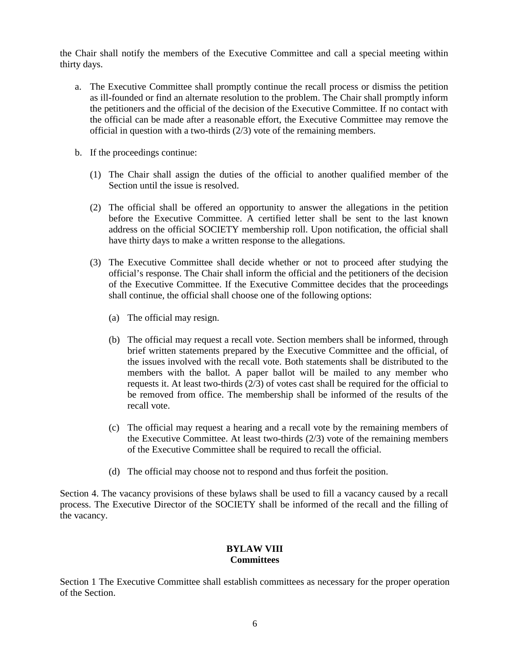the Chair shall notify the members of the Executive Committee and call a special meeting within thirty days.

- a. The Executive Committee shall promptly continue the recall process or dismiss the petition as ill-founded or find an alternate resolution to the problem. The Chair shall promptly inform the petitioners and the official of the decision of the Executive Committee. If no contact with the official can be made after a reasonable effort, the Executive Committee may remove the official in question with a two-thirds (2/3) vote of the remaining members.
- b. If the proceedings continue:
	- (1) The Chair shall assign the duties of the official to another qualified member of the Section until the issue is resolved.
	- (2) The official shall be offered an opportunity to answer the allegations in the petition before the Executive Committee. A certified letter shall be sent to the last known address on the official SOCIETY membership roll. Upon notification, the official shall have thirty days to make a written response to the allegations.
	- (3) The Executive Committee shall decide whether or not to proceed after studying the official's response. The Chair shall inform the official and the petitioners of the decision of the Executive Committee. If the Executive Committee decides that the proceedings shall continue, the official shall choose one of the following options:
		- (a) The official may resign.
		- (b) The official may request a recall vote. Section members shall be informed, through brief written statements prepared by the Executive Committee and the official, of the issues involved with the recall vote. Both statements shall be distributed to the members with the ballot. A paper ballot will be mailed to any member who requests it. At least two-thirds  $(2/3)$  of votes cast shall be required for the official to be removed from office. The membership shall be informed of the results of the recall vote.
		- (c) The official may request a hearing and a recall vote by the remaining members of the Executive Committee. At least two-thirds  $(2/3)$  vote of the remaining members of the Executive Committee shall be required to recall the official.
		- (d) The official may choose not to respond and thus forfeit the position.

Section 4. The vacancy provisions of these bylaws shall be used to fill a vacancy caused by a recall process. The Executive Director of the SOCIETY shall be informed of the recall and the filling of the vacancy.

#### **BYLAW VIII Committees**

Section 1 The Executive Committee shall establish committees as necessary for the proper operation of the Section.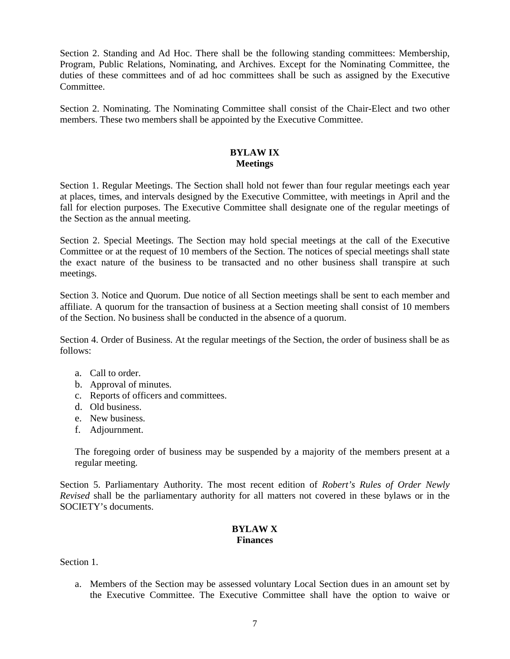Section 2. Standing and Ad Hoc. There shall be the following standing committees: Membership, Program, Public Relations, Nominating, and Archives. Except for the Nominating Committee, the duties of these committees and of ad hoc committees shall be such as assigned by the Executive Committee.

Section 2. Nominating. The Nominating Committee shall consist of the Chair-Elect and two other members. These two members shall be appointed by the Executive Committee.

### **BYLAW IX Meetings**

Section 1. Regular Meetings. The Section shall hold not fewer than four regular meetings each year at places, times, and intervals designed by the Executive Committee, with meetings in April and the fall for election purposes. The Executive Committee shall designate one of the regular meetings of the Section as the annual meeting.

Section 2. Special Meetings. The Section may hold special meetings at the call of the Executive Committee or at the request of 10 members of the Section. The notices of special meetings shall state the exact nature of the business to be transacted and no other business shall transpire at such meetings.

Section 3. Notice and Quorum. Due notice of all Section meetings shall be sent to each member and affiliate. A quorum for the transaction of business at a Section meeting shall consist of 10 members of the Section. No business shall be conducted in the absence of a quorum.

Section 4. Order of Business. At the regular meetings of the Section, the order of business shall be as follows:

- a. Call to order.
- b. Approval of minutes.
- c. Reports of officers and committees.
- d. Old business.
- e. New business.
- f. Adjournment.

The foregoing order of business may be suspended by a majority of the members present at a regular meeting.

Section 5. Parliamentary Authority. The most recent edition of *Robert's Rules of Order Newly Revised* shall be the parliamentary authority for all matters not covered in these bylaws or in the SOCIETY's documents.

### **BYLAW X Finances**

Section 1.

a. Members of the Section may be assessed voluntary Local Section dues in an amount set by the Executive Committee. The Executive Committee shall have the option to waive or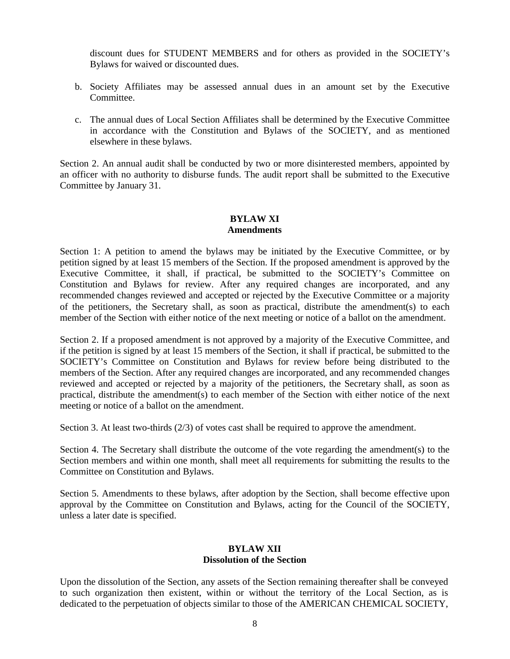discount dues for STUDENT MEMBERS and for others as provided in the SOCIETY's Bylaws for waived or discounted dues.

- b. Society Affiliates may be assessed annual dues in an amount set by the Executive **Committee**
- c. The annual dues of Local Section Affiliates shall be determined by the Executive Committee in accordance with the Constitution and Bylaws of the SOCIETY, and as mentioned elsewhere in these bylaws.

Section 2. An annual audit shall be conducted by two or more disinterested members, appointed by an officer with no authority to disburse funds. The audit report shall be submitted to the Executive Committee by January 31.

### **BYLAW XI Amendments**

Section 1: A petition to amend the bylaws may be initiated by the Executive Committee, or by petition signed by at least 15 members of the Section. If the proposed amendment is approved by the Executive Committee, it shall, if practical, be submitted to the SOCIETY's Committee on Constitution and Bylaws for review. After any required changes are incorporated, and any recommended changes reviewed and accepted or rejected by the Executive Committee or a majority of the petitioners, the Secretary shall, as soon as practical, distribute the amendment(s) to each member of the Section with either notice of the next meeting or notice of a ballot on the amendment.

Section 2. If a proposed amendment is not approved by a majority of the Executive Committee, and if the petition is signed by at least 15 members of the Section, it shall if practical, be submitted to the SOCIETY's Committee on Constitution and Bylaws for review before being distributed to the members of the Section. After any required changes are incorporated, and any recommended changes reviewed and accepted or rejected by a majority of the petitioners, the Secretary shall, as soon as practical, distribute the amendment(s) to each member of the Section with either notice of the next meeting or notice of a ballot on the amendment.

Section 3. At least two-thirds (2/3) of votes cast shall be required to approve the amendment.

Section 4. The Secretary shall distribute the outcome of the vote regarding the amendment(s) to the Section members and within one month, shall meet all requirements for submitting the results to the Committee on Constitution and Bylaws.

Section 5. Amendments to these bylaws, after adoption by the Section, shall become effective upon approval by the Committee on Constitution and Bylaws, acting for the Council of the SOCIETY, unless a later date is specified.

## **BYLAW XII Dissolution of the Section**

Upon the dissolution of the Section, any assets of the Section remaining thereafter shall be conveyed to such organization then existent, within or without the territory of the Local Section, as is dedicated to the perpetuation of objects similar to those of the AMERICAN CHEMICAL SOCIETY,